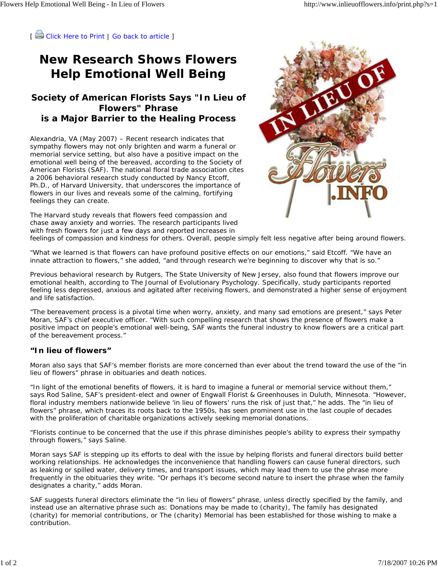[ Click Here to Print | Go back to article ]

## **New Research Shows Flowers Help Emotional Well Being**

## **Society of American Florists Says "In Lieu of Flowers" Phrase is a Major Barrier to the Healing Process**

Alexandria, VA (May 2007) – Recent research indicates that sympathy flowers may not only brighten and warm a funeral or memorial service setting, but also have a positive impact on the emotional well being of the bereaved, according to the Society of American Florists (SAF). The national floral trade association cites a 2006 behavioral research study conducted by Nancy Etcoff, Ph.D., of Harvard University, that underscores the importance of flowers in our lives and reveals some of the calming, fortifying feelings they can create.



The Harvard study reveals that flowers feed compassion and chase away anxiety and worries. The research participants lived with fresh flowers for just a few days and reported increases in

feelings of compassion and kindness for others. Overall, people simply felt less negative after being around flowers.

"What we learned is that flowers can have profound positive effects on our emotions," said Etcoff. "We have an innate attraction to flowers," she added, "and through research we're beginning to discover why that is so."

Previous behavioral research by Rutgers, The State University of New Jersey, also found that flowers improve our emotional health, according to The Journal of Evolutionary Psychology. Specifically, study participants reported feeling less depressed, anxious and agitated after receiving flowers, and demonstrated a higher sense of enjoyment and life satisfaction.

"The bereavement process is a pivotal time when worry, anxiety, and many sad emotions are present," says Peter Moran, SAF's chief executive officer. "With such compelling research that shows the presence of flowers make a positive impact on people's emotional well-being, SAF wants the funeral industry to know flowers are a critical part of the bereavement process."

## **"In lieu of flowers"**

Moran also says that SAF's member florists are more concerned than ever about the trend toward the use of the "in lieu of flowers" phrase in obituaries and death notices.

"In light of the emotional benefits of flowers, it is hard to imagine a funeral or memorial service without them," says Rod Saline, SAF's president-elect and owner of Engwall Florist & Greenhouses in Duluth, Minnesota. "However, floral industry members nationwide believe 'in lieu of flowers' runs the risk of just that," he adds. The "in lieu of flowers" phrase, which traces its roots back to the 1950s, has seen prominent use in the last couple of decades with the proliferation of charitable organizations actively seeking memorial donations.

"Florists continue to be concerned that the use if this phrase diminishes people's ability to express their sympathy through flowers," says Saline.

Moran says SAF is stepping up its efforts to deal with the issue by helping florists and funeral directors build better working relationships. He acknowledges the inconvenience that handling flowers can cause funeral directors, such as leaking or spilled water, delivery times, and transport issues, which may lead them to use the phrase more frequently in the obituaries they write. "Or perhaps it's become second nature to insert the phrase when the family designates a charity," adds Moran.

SAF suggests funeral directors eliminate the "in lieu of flowers" phrase, unless directly specified by the family, and instead use an alternative phrase such as: Donations may be made to (charity), The family has designated (charity) for memorial contributions, or The (charity) Memorial has been established for those wishing to make a contribution.